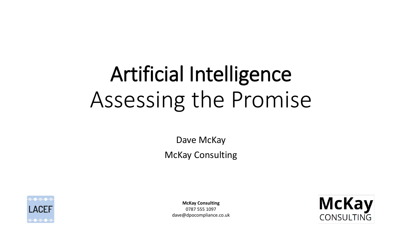## Artificial Intelligence Assessing the Promise

Dave McKay McKay Consulting



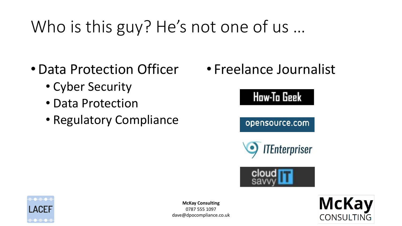### Who is this guy? He's not one of us …

- •Data Protection Officer
	- Cyber Security
	- Data Protection
	- Regulatory Compliance

• Freelance Journalist





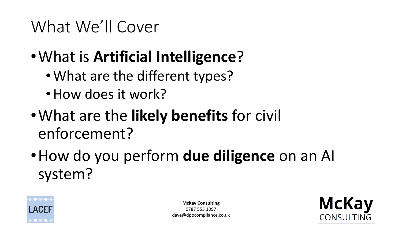### What We'll Cover

- •What is **Artificial Intelligence**?
	- What are the different types?
	- How does it work?
- •What are the **likely benefits** for civil enforcement?
- •How do you perform **due diligence** on an AI system?



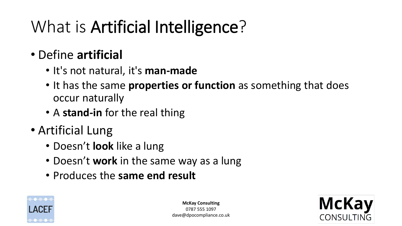### What is Artificial Intelligence?

#### • Define **artificial**

- It's not natural, it's **man-made**
- It has the same **properties or function** as something that does occur naturally
- A **stand-in** for the real thing
- Artificial Lung
	- Doesn't **look** like a lung
	- Doesn't **work** in the same way as a lung
	- Produces the **same end result**



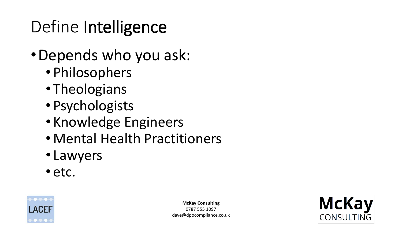### Define Intelligence

- •Depends who you ask:
	- Philosophers
	- Theologians
	- Psychologists
	- Knowledge Engineers
	- Mental Health Practitioners
	- Lawyers
	- etc.



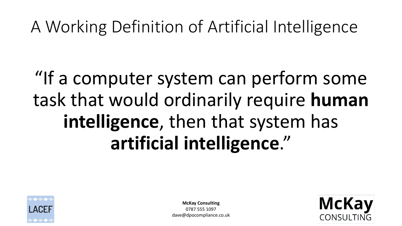### A Working Definition of Artificial Intelligence

### "If a computer system can perform some task that would ordinarily require **human intelligence**, then that system has **artificial intelligence**."



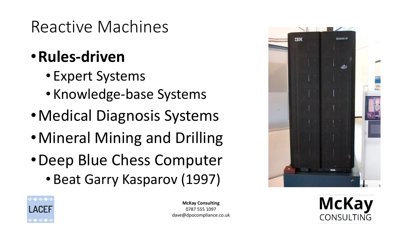### Reactive Machines

#### •**Rules-driven**

- Expert Systems
- Knowledge-base Systems
- •Medical Diagnosis Systems
- •Mineral Mining and Drilling
- •Deep Blue Chess Computer
	- Beat Garry Kasparov (1997)





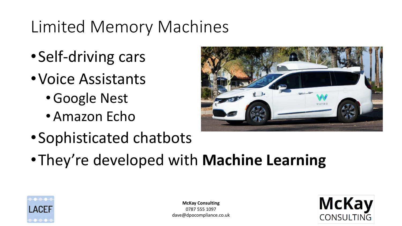### Limited Memory Machines

- •Self-driving cars
- •Voice Assistants
	- •Google Nest
	- Amazon Echo



- •Sophisticated chatbots
- •They're developed with **Machine Learning**



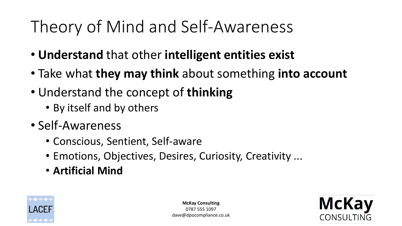### Theory of Mind and Self-Awareness

- **Understand** that other **intelligent entities exist**
- Take what **they may think** about something **into account**
- Understand the concept of **thinking**
	- By itself and by others
- Self-Awareness
	- Conscious, Sentient, Self-aware
	- Emotions, Objectives, Desires, Curiosity, Creativity ...
	- **Artificial Mind**



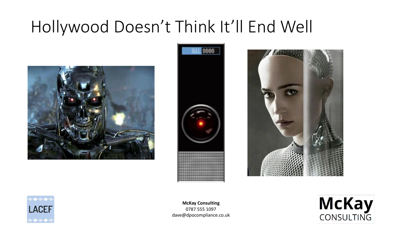### Hollywood Doesn't Think It'll End Well









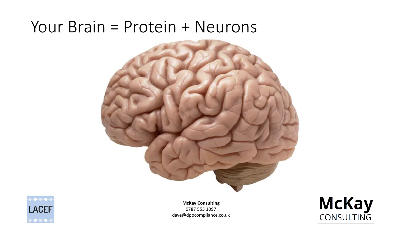#### Your Brain = Protein + Neurons





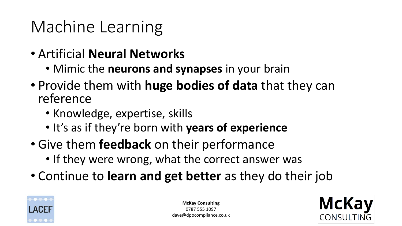### Machine Learning

- Artificial **Neural Networks**
	- Mimic the **neurons and synapses** in your brain
- Provide them with **huge bodies of data** that they can reference
	- Knowledge, expertise, skills
	- It's as if they're born with **years of experience**
- Give them **feedback** on their performance
	- If they were wrong, what the correct answer was
- Continue to **learn and get better** as they do their job



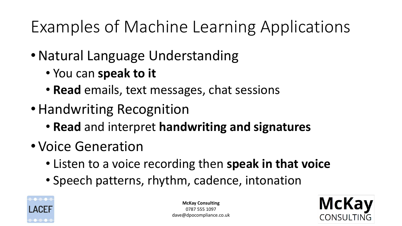### Examples of Machine Learning Applications

- Natural Language Understanding
	- You can **speak to it**
	- **Read** emails, text messages, chat sessions
- •Handwriting Recognition
	- **Read** and interpret **handwriting and signatures**
- Voice Generation
	- Listen to a voice recording then **speak in that voice**
	- Speech patterns, rhythm, cadence, intonation



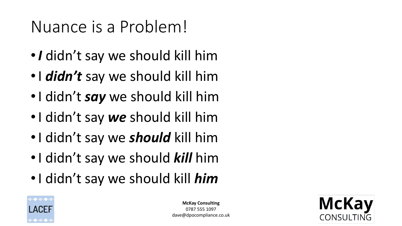### Nuance is a Problem!

- •*I* didn't say we should kill him
- •I *didn't* say we should kill him
- •I didn't *say* we should kill him
- •I didn't say *we* should kill him
- •I didn't say we *should* kill him
- •I didn't say we should *kill* him
- •I didn't say we should kill *him*



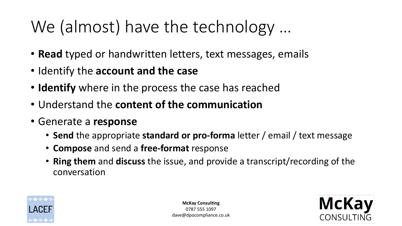### We (almost) have the technology …

- **Read** typed or handwritten letters, text messages, emails
- Identify the **account and the case**
- **Identify** where in the process the case has reached
- Understand the **content of the communication**
- Generate a **response**
	- **Send** the appropriate **standard or pro-forma** letter / email / text message
	- **Compose** and send a **free-format** response
	- **Ring them** and **discuss** the issue, and provide a transcript/recording of the conversation



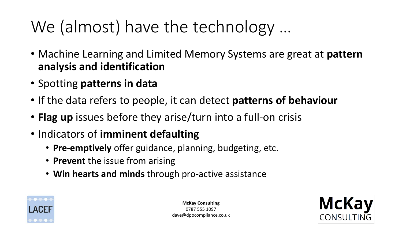### We (almost) have the technology …

- Machine Learning and Limited Memory Systems are great at **pattern analysis and identification**
- Spotting **patterns in data**
- If the data refers to people, it can detect **patterns of behaviour**
- **Flag up** issues before they arise/turn into a full-on crisis
- Indicators of **imminent defaulting**
	- **Pre-emptively** offer guidance, planning, budgeting, etc.
	- **Prevent** the issue from arising
	- **Win hearts and minds** through pro-active assistance



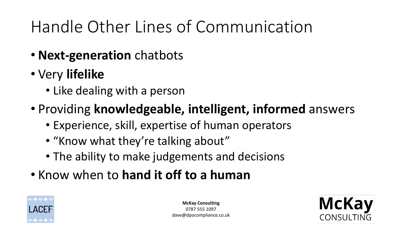### Handle Other Lines of Communication

- **Next-generation** chatbots
- Very **lifelike** 
	- Like dealing with a person
- Providing **knowledgeable, intelligent, informed** answers
	- Experience, skill, expertise of human operators
	- "Know what they're talking about"
	- The ability to make judgements and decisions
- Know when to **hand it off to a human**



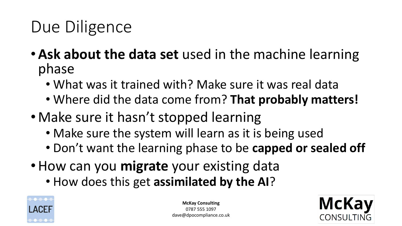### Due Diligence

- •**Ask about the data set** used in the machine learning phase
	- What was it trained with? Make sure it was real data
	- Where did the data come from? **That probably matters!**
- Make sure it hasn't stopped learning
	- Make sure the system will learn as it is being used
	- Don't want the learning phase to be **capped or sealed off**
- •How can you **migrate** your existing data
	- How does this get **assimilated by the AI**?



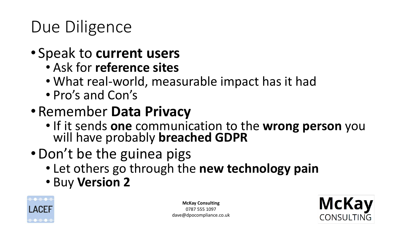### Due Diligence

- Speak to **current users**
	- Ask for **reference sites**
	- What real-world, measurable impact has it had
	- Pro's and Con's
- Remember **Data Privacy**
	- If it sends **one** communication to the **wrong person** you will have probably **breached GDPR**
- Don't be the guinea pigs
	- Let others go through the **new technology pain**
	- Buy **Version 2**